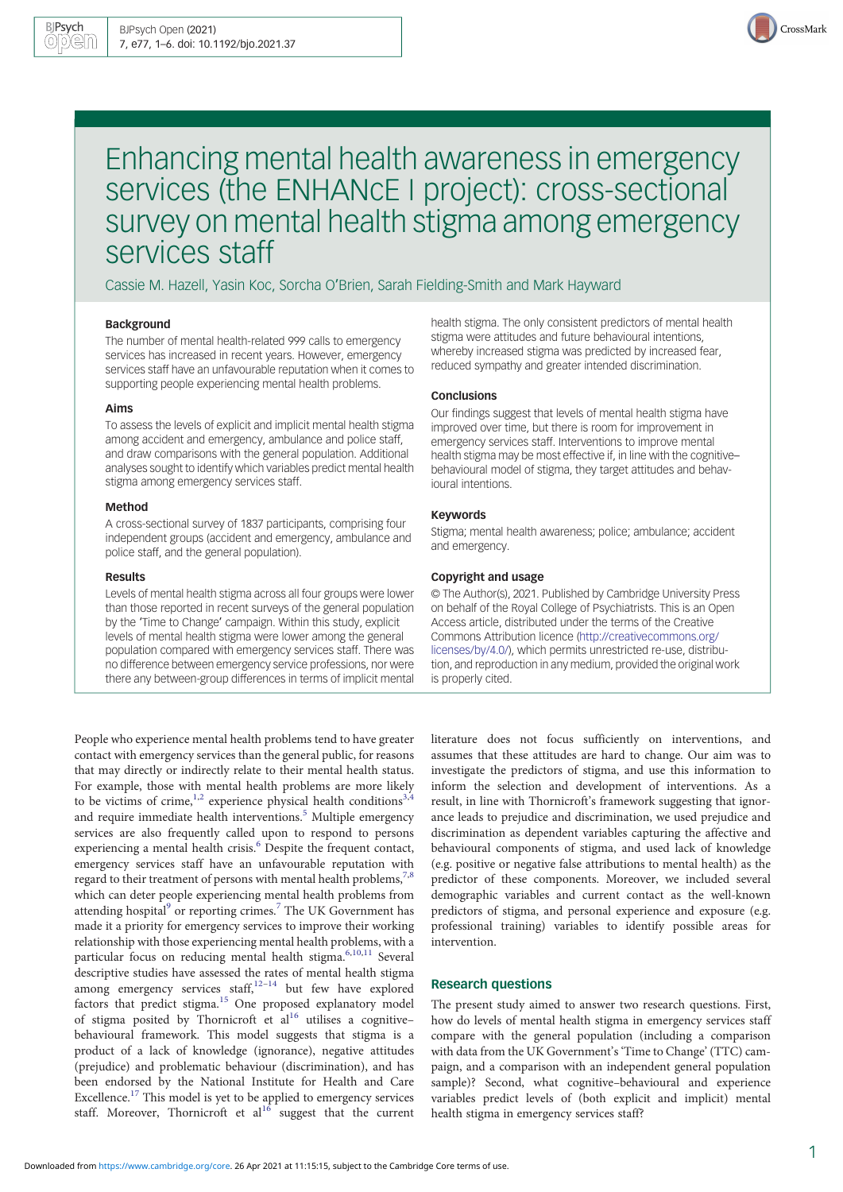

# Enhancing mental health awareness in emergency services (the ENHANCE I project): cross-sectional survey on mental health stigma among emergency services staff

Cassie M. Hazell, Yasin Koc, Sorcha O'Brien, Sarah Fielding-Smith and Mark Hayward

#### Background

The number of mental health-related 999 calls to emergency services has increased in recent years. However, emergency services staff have an unfavourable reputation when it comes to supporting people experiencing mental health problems.

#### Aims

To assess the levels of explicit and implicit mental health stigma among accident and emergency, ambulance and police staff, and draw comparisons with the general population. Additional analyses sought to identify which variables predict mental health stigma among emergency services staff.

#### Method

A cross-sectional survey of 1837 participants, comprising four independent groups (accident and emergency, ambulance and police staff, and the general population).

#### Results

Levels of mental health stigma across all four groups were lower than those reported in recent surveys of the general population by the 'Time to Change' campaign. Within this study, explicit levels of mental health stigma were lower among the general population compared with emergency services staff. There was no difference between emergency service professions, nor were there any between-group differences in terms of implicit mental

People who experience mental health problems tend to have greater contact with emergency services than the general public, for reasons that may directly or indirectly relate to their mental health status. For example, those with mental health problems are more likely to be victims of crime,<sup>[1](#page-5-0),[2](#page-5-0)</sup> experience physical health conditions<sup>[3,4](#page-5-0)</sup> and require immediate health interventions.<sup>[5](#page-5-0)</sup> Multiple emergency services are also frequently called upon to respond to persons experiencing a mental health crisis.<sup>[6](#page-5-0)</sup> Despite the frequent contact, emergency services staff have an unfavourable reputation with regard to their treatment of persons with mental health problems,  $7,8$ which can deter people experiencing mental health problems from attending hospital $9$  or reporting crimes.<sup>[7](#page-5-0)</sup> The UK Government has made it a priority for emergency services to improve their working relationship with those experiencing mental health problems, with a particular focus on reducing mental health stigma.<sup>[6](#page-5-0),[10](#page-5-0),[11](#page-5-0)</sup> Several descriptive studies have assessed the rates of mental health stigma among emergency services staff, $12-14$  $12-14$  $12-14$  but few have explored factors that predict stigma.<sup>[15](#page-5-0)</sup> One proposed explanatory model of stigma posited by Thornicroft et  $al<sup>16</sup>$  utilises a cognitive– behavioural framework. This model suggests that stigma is a product of a lack of knowledge (ignorance), negative attitudes (prejudice) and problematic behaviour (discrimination), and has been endorsed by the National Institute for Health and Care Excellence.<sup>[17](#page-5-0)</sup> This model is yet to be applied to emergency services staff. Moreover, Thornicroft et  $al^{16}$  $al^{16}$  $al^{16}$  suggest that the current health stigma. The only consistent predictors of mental health stigma were attitudes and future behavioural intentions, whereby increased stigma was predicted by increased fear, reduced sympathy and greater intended discrimination.

## **Conclusions**

Our findings suggest that levels of mental health stigma have improved over time, but there is room for improvement in emergency services staff. Interventions to improve mental health stigma may be most effective if, in line with the cognitive– behavioural model of stigma, they target attitudes and behavioural intentions.

#### Keywords

Stigma; mental health awareness; police; ambulance; accident and emergency.

## Copyright and usage

© The Author(s), 2021. Published by Cambridge University Press on behalf of the Royal College of Psychiatrists. This is an Open Access article, distributed under the terms of the Creative Commons Attribution licence [\(http://creativecommons.org/](http://creativecommons.org/licenses/by/4.0/) [licenses/by/4.0/](http://creativecommons.org/licenses/by/4.0/)), which permits unrestricted re-use, distribution, and reproduction in any medium, provided the original work is properly cited.

literature does not focus sufficiently on interventions, and assumes that these attitudes are hard to change. Our aim was to investigate the predictors of stigma, and use this information to inform the selection and development of interventions. As a result, in line with Thornicroft's framework suggesting that ignorance leads to prejudice and discrimination, we used prejudice and discrimination as dependent variables capturing the affective and behavioural components of stigma, and used lack of knowledge (e.g. positive or negative false attributions to mental health) as the predictor of these components. Moreover, we included several demographic variables and current contact as the well-known predictors of stigma, and personal experience and exposure (e.g. professional training) variables to identify possible areas for intervention.

## Research questions

The present study aimed to answer two research questions. First, how do levels of mental health stigma in emergency services staff compare with the general population (including a comparison with data from the UK Government's 'Time to Change' (TTC) campaign, and a comparison with an independent general population sample)? Second, what cognitive–behavioural and experience variables predict levels of (both explicit and implicit) mental health stigma in emergency services staff?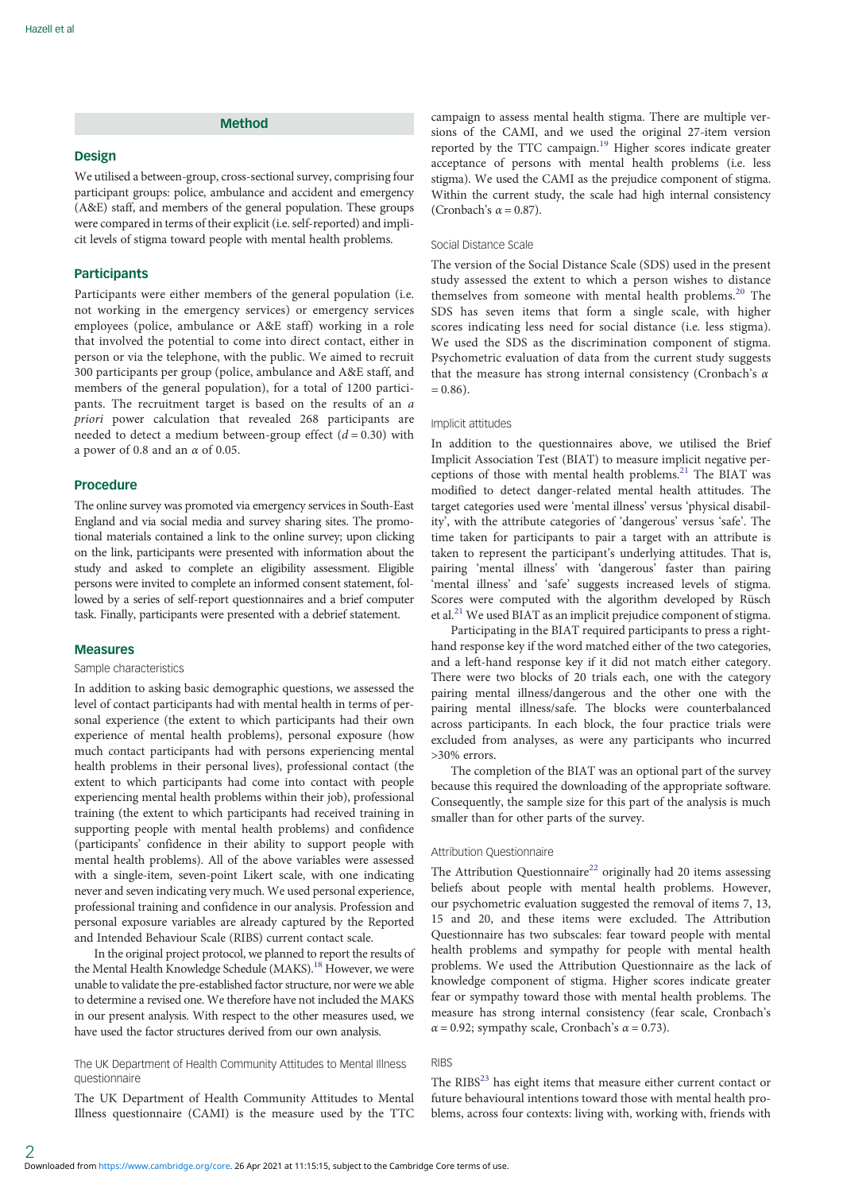# Method

#### Design

We utilised a between-group, cross-sectional survey, comprising four participant groups: police, ambulance and accident and emergency (A&E) staff, and members of the general population. These groups were compared in terms of their explicit (i.e. self-reported) and implicit levels of stigma toward people with mental health problems.

## **Participants**

Participants were either members of the general population (i.e. not working in the emergency services) or emergency services employees (police, ambulance or A&E staff) working in a role that involved the potential to come into direct contact, either in person or via the telephone, with the public. We aimed to recruit 300 participants per group (police, ambulance and A&E staff, and members of the general population), for a total of 1200 participants. The recruitment target is based on the results of an a priori power calculation that revealed 268 participants are needed to detect a medium between-group effect  $(d = 0.30)$  with a power of 0.8 and an  $\alpha$  of 0.05.

## Procedure

The online survey was promoted via emergency services in South-East England and via social media and survey sharing sites. The promotional materials contained a link to the online survey; upon clicking on the link, participants were presented with information about the study and asked to complete an eligibility assessment. Eligible persons were invited to complete an informed consent statement, followed by a series of self-report questionnaires and a brief computer task. Finally, participants were presented with a debrief statement.

#### Measures

2

#### Sample characteristics

In addition to asking basic demographic questions, we assessed the level of contact participants had with mental health in terms of personal experience (the extent to which participants had their own experience of mental health problems), personal exposure (how much contact participants had with persons experiencing mental health problems in their personal lives), professional contact (the extent to which participants had come into contact with people experiencing mental health problems within their job), professional training (the extent to which participants had received training in supporting people with mental health problems) and confidence (participants' confidence in their ability to support people with mental health problems). All of the above variables were assessed with a single-item, seven-point Likert scale, with one indicating never and seven indicating very much. We used personal experience, professional training and confidence in our analysis. Profession and personal exposure variables are already captured by the Reported and Intended Behaviour Scale (RIBS) current contact scale.

In the original project protocol, we planned to report the results of the Mental Health Knowledge Schedule (MAKS).<sup>18</sup> However, we were unable to validate the pre-established factor structure, nor were we able to determine a revised one. We therefore have not included the MAKS in our present analysis. With respect to the other measures used, we have used the factor structures derived from our own analysis.

The UK Department of Health Community Attitudes to Mental Illness questionnaire

The UK Department of Health Community Attitudes to Mental Illness questionnaire (CAMI) is the measure used by the TTC

campaign to assess mental health stigma. There are multiple versions of the CAMI, and we used the original 27-item version reported by the TTC campaign.[19](#page-5-0) Higher scores indicate greater acceptance of persons with mental health problems (i.e. less stigma). We used the CAMI as the prejudice component of stigma. Within the current study, the scale had high internal consistency (Cronbach's  $\alpha$  = 0.87).

## Social Distance Scale

The version of the Social Distance Scale (SDS) used in the present study assessed the extent to which a person wishes to distance themselves from someone with mental health problems.<sup>[20](#page-5-0)</sup> The SDS has seven items that form a single scale, with higher scores indicating less need for social distance (i.e. less stigma). We used the SDS as the discrimination component of stigma. Psychometric evaluation of data from the current study suggests that the measure has strong internal consistency (Cronbach's  $\alpha$  $= 0.86$ ).

#### Implicit attitudes

In addition to the questionnaires above, we utilised the Brief Implicit Association Test (BIAT) to measure implicit negative perceptions of those with mental health problems.<sup>21</sup> The BIAT was modified to detect danger-related mental health attitudes. The target categories used were 'mental illness' versus 'physical disability', with the attribute categories of 'dangerous' versus 'safe'. The time taken for participants to pair a target with an attribute is taken to represent the participant's underlying attitudes. That is, pairing 'mental illness' with 'dangerous' faster than pairing 'mental illness' and 'safe' suggests increased levels of stigma. Scores were computed with the algorithm developed by Rüsch et al. $^{21}$  $^{21}$  $^{21}$  We used BIAT as an implicit prejudice component of stigma.

Participating in the BIAT required participants to press a righthand response key if the word matched either of the two categories, and a left-hand response key if it did not match either category. There were two blocks of 20 trials each, one with the category pairing mental illness/dangerous and the other one with the pairing mental illness/safe. The blocks were counterbalanced across participants. In each block, the four practice trials were excluded from analyses, as were any participants who incurred >30% errors.

The completion of the BIAT was an optional part of the survey because this required the downloading of the appropriate software. Consequently, the sample size for this part of the analysis is much smaller than for other parts of the survey.

#### Attribution Questionnaire

The Attribution Questionnaire<sup>22</sup> originally had 20 items assessing beliefs about people with mental health problems. However, our psychometric evaluation suggested the removal of items 7, 13, 15 and 20, and these items were excluded. The Attribution Questionnaire has two subscales: fear toward people with mental health problems and sympathy for people with mental health problems. We used the Attribution Questionnaire as the lack of knowledge component of stigma. Higher scores indicate greater fear or sympathy toward those with mental health problems. The measure has strong internal consistency (fear scale, Cronbach's  $\alpha$  = 0.92; sympathy scale, Cronbach's  $\alpha$  = 0.73).

# **RIBS**

The  $RIBS<sup>23</sup>$  has eight items that measure either current contact or future behavioural intentions toward those with mental health problems, across four contexts: living with, working with, friends with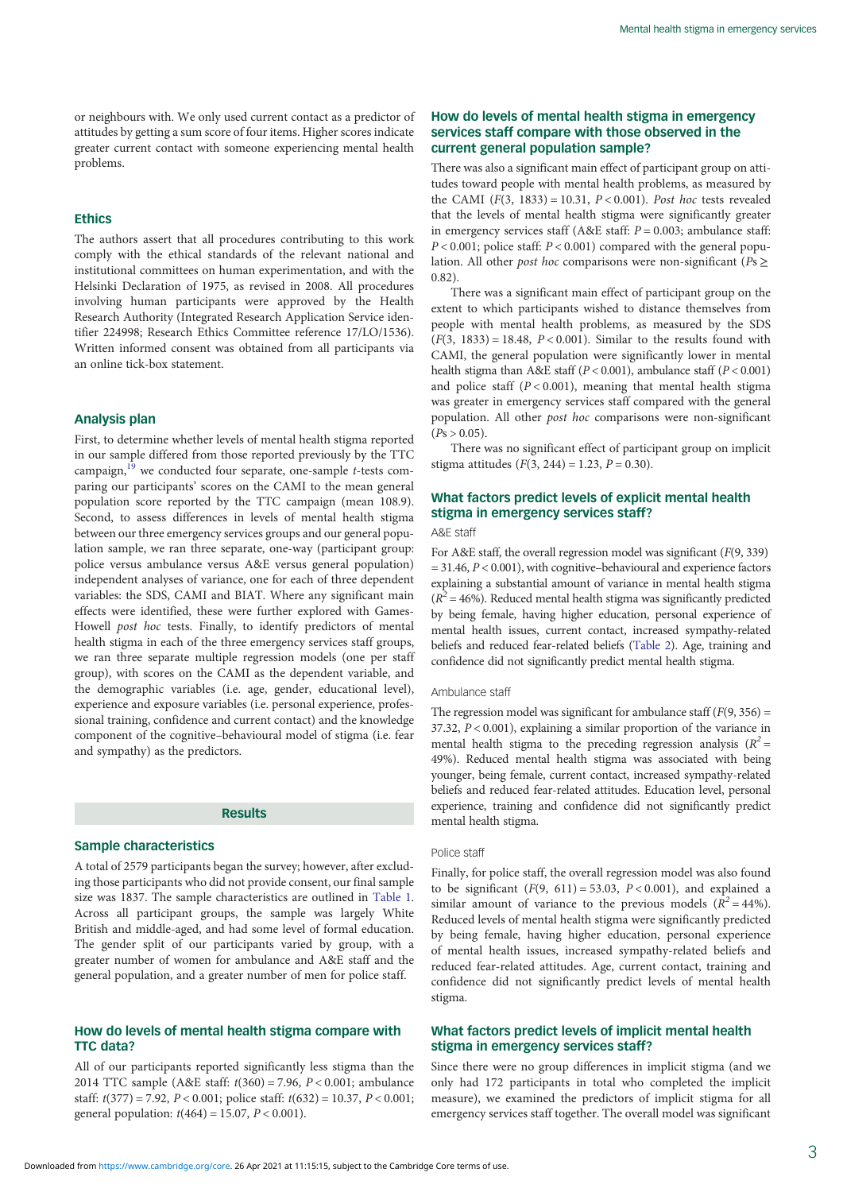or neighbours with. We only used current contact as a predictor of attitudes by getting a sum score of four items. Higher scores indicate greater current contact with someone experiencing mental health problems.

#### Ethics

The authors assert that all procedures contributing to this work comply with the ethical standards of the relevant national and institutional committees on human experimentation, and with the Helsinki Declaration of 1975, as revised in 2008. All procedures involving human participants were approved by the Health Research Authority (Integrated Research Application Service identifier 224998; Research Ethics Committee reference 17/LO/1536). Written informed consent was obtained from all participants via an online tick-box statement.

## Analysis plan

First, to determine whether levels of mental health stigma reported in our sample differed from those reported previously by the TTC campaign, $19$  we conducted four separate, one-sample *t*-tests comparing our participants' scores on the CAMI to the mean general population score reported by the TTC campaign (mean 108.9). Second, to assess differences in levels of mental health stigma between our three emergency services groups and our general population sample, we ran three separate, one-way (participant group: police versus ambulance versus A&E versus general population) independent analyses of variance, one for each of three dependent variables: the SDS, CAMI and BIAT. Where any significant main effects were identified, these were further explored with Games-Howell post hoc tests. Finally, to identify predictors of mental health stigma in each of the three emergency services staff groups, we ran three separate multiple regression models (one per staff group), with scores on the CAMI as the dependent variable, and the demographic variables (i.e. age, gender, educational level), experience and exposure variables (i.e. personal experience, professional training, confidence and current contact) and the knowledge component of the cognitive–behavioural model of stigma (i.e. fear and sympathy) as the predictors.

#### Results

## Sample characteristics

A total of 2579 participants began the survey; however, after excluding those participants who did not provide consent, our final sample size was 1837. The sample characteristics are outlined in [Table 1.](#page-3-0) Across all participant groups, the sample was largely White British and middle-aged, and had some level of formal education. The gender split of our participants varied by group, with a greater number of women for ambulance and A&E staff and the general population, and a greater number of men for police staff.

## How do levels of mental health stigma compare with TTC data?

All of our participants reported significantly less stigma than the 2014 TTC sample (A&E staff: t(360) = 7.96, P < 0.001; ambulance staff:  $t(377) = 7.92$ ,  $P < 0.001$ ; police staff:  $t(632) = 10.37$ ,  $P < 0.001$ ; general population:  $t(464) = 15.07$ ,  $P < 0.001$ ).

# How do levels of mental health stigma in emergency services staff compare with those observed in the current general population sample?

There was also a significant main effect of participant group on attitudes toward people with mental health problems, as measured by the CAMI  $(F(3, 1833) = 10.31, P < 0.001)$ . Post hoc tests revealed that the levels of mental health stigma were significantly greater in emergency services staff (A&E staff:  $P = 0.003$ ; ambulance staff:  $P < 0.001$ ; police staff:  $P < 0.001$ ) compared with the general population. All other *post hoc* comparisons were non-significant ( $Ps \geq$ 0.82).

There was a significant main effect of participant group on the extent to which participants wished to distance themselves from people with mental health problems, as measured by the SDS  $(F(3, 1833) = 18.48, P < 0.001)$ . Similar to the results found with CAMI, the general population were significantly lower in mental health stigma than A&E staff ( $P < 0.001$ ), ambulance staff ( $P < 0.001$ ) and police staff  $(P < 0.001)$ , meaning that mental health stigma was greater in emergency services staff compared with the general population. All other post hoc comparisons were non-significant  $(Ps > 0.05)$ .

There was no significant effect of participant group on implicit stigma attitudes  $(F(3, 244) = 1.23, P = 0.30)$ .

# What factors predict levels of explicit mental health stigma in emergency services staff?

# A&E staff

For A&E staff, the overall regression model was significant (F(9, 339)  $= 31.46, P < 0.001$ ), with cognitive–behavioural and experience factors explaining a substantial amount of variance in mental health stigma  $(R^2 = 46\%)$ . Reduced mental health stigma was significantly predicted by being female, having higher education, personal experience of mental health issues, current contact, increased sympathy-related beliefs and reduced fear-related beliefs [\(Table 2\)](#page-3-0). Age, training and confidence did not significantly predict mental health stigma.

#### Ambulance staff

The regression model was significant for ambulance staff  $(F(9, 356) =$ 37.32,  $P < 0.001$ ), explaining a similar proportion of the variance in mental health stigma to the preceding regression analysis  $(R^2 =$ 49%). Reduced mental health stigma was associated with being younger, being female, current contact, increased sympathy-related beliefs and reduced fear-related attitudes. Education level, personal experience, training and confidence did not significantly predict mental health stigma.

#### Police staff

Finally, for police staff, the overall regression model was also found to be significant  $(F(9, 611) = 53.03, P < 0.001)$ , and explained a similar amount of variance to the previous models  $(R^2 = 44\%)$ . Reduced levels of mental health stigma were significantly predicted by being female, having higher education, personal experience of mental health issues, increased sympathy-related beliefs and reduced fear-related attitudes. Age, current contact, training and confidence did not significantly predict levels of mental health stigma.

## What factors predict levels of implicit mental health stigma in emergency services staff?

Since there were no group differences in implicit stigma (and we only had 172 participants in total who completed the implicit measure), we examined the predictors of implicit stigma for all emergency services staff together. The overall model was significant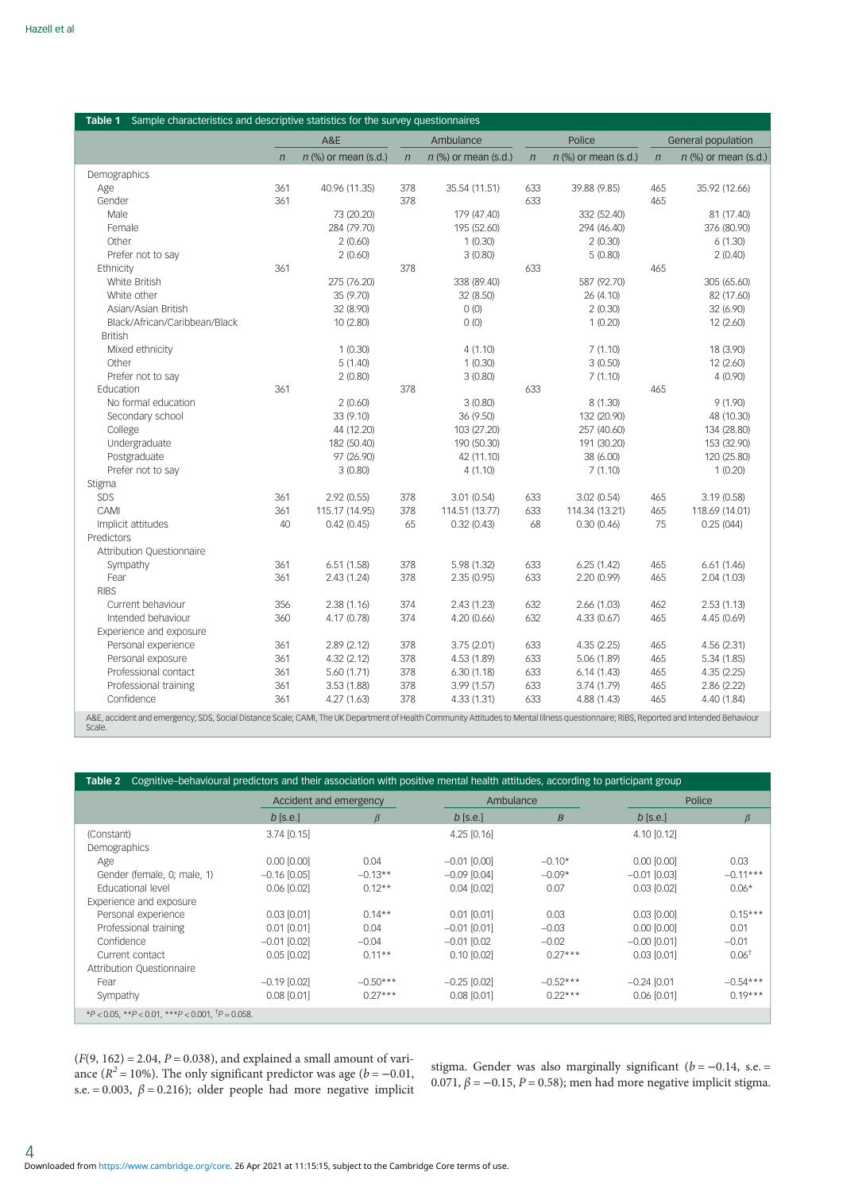<span id="page-3-0"></span>

| Table 1<br>Sample characteristics and descriptive statistics for the survey questionnaires                                                                                                      |            |                        |              |                        |                |                        |            |                        |  |  |  |  |
|-------------------------------------------------------------------------------------------------------------------------------------------------------------------------------------------------|------------|------------------------|--------------|------------------------|----------------|------------------------|------------|------------------------|--|--|--|--|
|                                                                                                                                                                                                 |            | A&E                    |              | Ambulance              |                | Police                 |            | General population     |  |  |  |  |
|                                                                                                                                                                                                 | $\sqrt{n}$ | $n$ (%) or mean (s.d.) | $\mathsf{n}$ | $n$ (%) or mean (s.d.) | $\overline{n}$ | $n$ (%) or mean (s.d.) | $\sqrt{n}$ | $n$ (%) or mean (s.d.) |  |  |  |  |
| Demographics                                                                                                                                                                                    |            |                        |              |                        |                |                        |            |                        |  |  |  |  |
| Age                                                                                                                                                                                             | 361        | 40.96 (11.35)          | 378          | 35.54 (11.51)          | 633            | 39.88 (9.85)           | 465        | 35.92 (12.66)          |  |  |  |  |
| Gender                                                                                                                                                                                          | 361        |                        | 378          |                        | 633            |                        | 465        |                        |  |  |  |  |
| Male                                                                                                                                                                                            |            | 73 (20.20)             |              | 179 (47.40)            |                | 332 (52.40)            |            | 81 (17.40)             |  |  |  |  |
| Female                                                                                                                                                                                          |            | 284 (79.70)            |              | 195 (52.60)            |                | 294 (46.40)            |            | 376 (80.90)            |  |  |  |  |
| Other                                                                                                                                                                                           |            | 2(0.60)                |              | 1(0.30)                |                | 2(0.30)                |            | 6(1.30)                |  |  |  |  |
| Prefer not to say                                                                                                                                                                               |            | 2(0.60)                |              | 3(0.80)                |                | 5(0.80)                |            | 2(0.40)                |  |  |  |  |
| Ethnicity                                                                                                                                                                                       | 361        |                        | 378          |                        | 633            |                        | 465        |                        |  |  |  |  |
| White British                                                                                                                                                                                   |            | 275 (76.20)            |              | 338 (89.40)            |                | 587 (92.70)            |            | 305 (65.60)            |  |  |  |  |
| White other                                                                                                                                                                                     |            | 35 (9.70)              |              | 32 (8.50)              |                | 26 (4.10)              |            | 82 (17.60)             |  |  |  |  |
| Asian/Asian British                                                                                                                                                                             |            | 32 (8.90)              |              | 0(0)                   |                | 2(0.30)                |            | 32 (6.90)              |  |  |  |  |
| Black/African/Caribbean/Black                                                                                                                                                                   |            | 10 (2.80)              |              | (0)                    |                | 1(0.20)                |            | 12 (2.60)              |  |  |  |  |
| <b>British</b>                                                                                                                                                                                  |            |                        |              |                        |                |                        |            |                        |  |  |  |  |
| Mixed ethnicity                                                                                                                                                                                 |            | 1(0.30)                |              | 4(1.10)                |                | 7(1.10)                |            | 18 (3.90)              |  |  |  |  |
| Other                                                                                                                                                                                           |            | 5(1.40)                |              | 1(0.30)                |                | 3(0.50)                |            | 12 (2.60)              |  |  |  |  |
| Prefer not to say                                                                                                                                                                               |            | 2(0.80)                |              | 3(0.80)                |                | 7(1.10)                |            | 4(0.90)                |  |  |  |  |
| Education                                                                                                                                                                                       | 361        |                        | 378          |                        | 633            |                        | 465        |                        |  |  |  |  |
| No formal education                                                                                                                                                                             |            | 2(0.60)                |              | 3(0.80)                |                | 8 (1.30)               |            | 9(1.90)                |  |  |  |  |
| Secondary school                                                                                                                                                                                |            | 33 (9.10)              |              | 36 (9.50)              |                | 132 (20.90)            |            | 48 (10.30)             |  |  |  |  |
| College                                                                                                                                                                                         |            | 44 (12.20)             |              | 103 (27.20)            |                | 257 (40.60)            |            | 134 (28.80)            |  |  |  |  |
| Undergraduate                                                                                                                                                                                   |            | 182 (50.40)            |              | 190 (50.30)            |                | 191 (30.20)            |            | 153 (32.90)            |  |  |  |  |
| Postgraduate                                                                                                                                                                                    |            | 97 (26.90)             |              | 42 (11.10)             |                | 38 (6.00)              |            | 120 (25.80)            |  |  |  |  |
| Prefer not to say                                                                                                                                                                               |            | 3(0.80)                |              | 4(1.10)                |                | 7(1.10)                |            | 1(0.20)                |  |  |  |  |
| Stigma                                                                                                                                                                                          |            |                        |              |                        |                |                        |            |                        |  |  |  |  |
| SDS                                                                                                                                                                                             | 361        | 2.92(0.55)             | 378          | 3.01(0.54)             | 633            | 3.02(0.54)             | 465        | 3.19(0.58)             |  |  |  |  |
| CAMI                                                                                                                                                                                            | 361        | 115.17 (14.95)         | 378          | 114.51 (13.77)         | 633            | 114.34 (13.21)         | 465        | 118.69 (14.01)         |  |  |  |  |
| Implicit attitudes                                                                                                                                                                              | 40         | 0.42(0.45)             | 65           | 0.32(0.43)             | 68             | 0.30(0.46)             | 75         | 0.25(044)              |  |  |  |  |
| Predictors                                                                                                                                                                                      |            |                        |              |                        |                |                        |            |                        |  |  |  |  |
| Attribution Questionnaire                                                                                                                                                                       |            |                        |              |                        |                |                        |            |                        |  |  |  |  |
| Sympathy                                                                                                                                                                                        | 361        | 6.51(1.58)             | 378          | 5.98 (1.32)            | 633            | 6.25(1.42)             | 465        | 6.61(1.46)             |  |  |  |  |
| Fear                                                                                                                                                                                            | 361        | 2.43(1.24)             | 378          | 2.35(0.95)             | 633            | 2.20 (0.99)            | 465        | 2.04 (1.03)            |  |  |  |  |
| <b>RIBS</b>                                                                                                                                                                                     |            |                        |              |                        |                |                        |            |                        |  |  |  |  |
| Current behaviour                                                                                                                                                                               | 356        | 2.38(1.16)             | 374          | 2.43(1.23)             | 632            | 2.66(1.03)             | 462        | 2.53(1.13)             |  |  |  |  |
| Intended behaviour                                                                                                                                                                              | 360        | 4.17 (0.78)            | 374          | 4.20(0.66)             | 632            | 4.33(0.67)             | 465        | 4.45 (0.69)            |  |  |  |  |
| Experience and exposure                                                                                                                                                                         |            |                        |              |                        |                |                        |            |                        |  |  |  |  |
| Personal experience                                                                                                                                                                             | 361        | 2.89(2.12)             | 378          | 3.75(2.01)             | 633            | 4.35(2.25)             | 465        | 4.56 (2.31)            |  |  |  |  |
| Personal exposure                                                                                                                                                                               | 361        | 4.32(2.12)             | 378          | 4.53 (1.89)            | 633            | 5.06 (1.89)            | 465        | 5.34(1.85)             |  |  |  |  |
| Professional contact                                                                                                                                                                            | 361        | 5.60(1.71)             | 378          | 6.30(1.18)             | 633            | 6.14(1.43)             | 465        | 4.35(2.25)             |  |  |  |  |
| Professional training                                                                                                                                                                           | 361        | 3.53(1.88)             | 378          | 3.99(1.57)             | 633            | 3.74 (1.79)            | 465        | 2.86 (2.22)            |  |  |  |  |
| Confidence                                                                                                                                                                                      | 361        | 4.27(1.63)             | 378          | 4.33 (1.31)            | 633            | 4.88 (1.43)            | 465        | 4.40 (1.84)            |  |  |  |  |
| A&E, accident and emergency; SDS, Social Distance Scale; CAMI, The UK Department of Health Community Attitudes to Mental Illness questionnaire; RIBS, Reported and Intended Behaviour<br>Scale. |            |                        |              |                        |                |                        |            |                        |  |  |  |  |

| Cognitive-behavioural predictors and their association with positive mental health attitudes, according to participant group<br>Table 2 |                        |            |                  |                  |                  |                   |  |  |  |  |  |
|-----------------------------------------------------------------------------------------------------------------------------------------|------------------------|------------|------------------|------------------|------------------|-------------------|--|--|--|--|--|
|                                                                                                                                         | Accident and emergency |            | Ambulance        |                  | Police           |                   |  |  |  |  |  |
|                                                                                                                                         | $b$ [s.e.]             | $\beta$    | $b$ [s.e.]       | $\boldsymbol{B}$ | $b$ [s.e.]       | $\beta$           |  |  |  |  |  |
| (Constant)<br>Demographics                                                                                                              | $3.74$ [0.15]          |            | 4.25 [0.16]      |                  | 4.10 [0.12]      |                   |  |  |  |  |  |
| Age                                                                                                                                     | $0.00$ $[0.00]$        | 0.04       | $-0.01$ [0.00]   | $-0.10*$         | $0.00$ $[0.00]$  | 0.03              |  |  |  |  |  |
| Gender (female, 0; male, 1)                                                                                                             | $-0.16$ [0.05]         | $-0.13**$  | $-0.09$ [0.04]   | $-0.09*$         | $-0.01$ [0.03]   | $-0.11***$        |  |  |  |  |  |
| <b>Educational level</b>                                                                                                                | $0.06$ [0.02]          | $0.12**$   | $0.04$ [0.02]    | 0.07             | $0.03$ $[0.02]$  | $0.06*$           |  |  |  |  |  |
| Experience and exposure                                                                                                                 |                        |            |                  |                  |                  |                   |  |  |  |  |  |
| Personal experience                                                                                                                     | $0.03$ [0.01]          | $0.14**$   | $0.01$ $[0.01]$  | 0.03             | $0.03$ $[0.00]$  | $0.15***$         |  |  |  |  |  |
| Professional training                                                                                                                   | $0.01$ [0.01]          | 0.04       | $-0.01$ [0.01]   | $-0.03$          | $0.00$ $[0.00]$  | 0.01              |  |  |  |  |  |
| Confidence                                                                                                                              | $-0.01$ [0.02]         | $-0.04$    | $-0.01$ $[0.02]$ | $-0.02$          | $-0.00$ [0.01]   | $-0.01$           |  |  |  |  |  |
| Current contact                                                                                                                         | $0.05$ [0.02]          | $0.11**$   | $0.10$ $[0.02]$  | $0.27***$        | $0.03$ $[0.01]$  | 0.06 <sup>†</sup> |  |  |  |  |  |
| Attribution Questionnaire                                                                                                               |                        |            |                  |                  |                  |                   |  |  |  |  |  |
| Fear                                                                                                                                    | $-0.19$ [0.02]         | $-0.50***$ | $-0.25$ $[0.02]$ | $-0.52***$       | $-0.24$ $[0.01]$ | $-0.54***$        |  |  |  |  |  |
| Sympathy                                                                                                                                | $0.08$ [0.01]          | $0.27***$  | $0.08$ [0.01]    | $0.22***$        | $0.06$ [0.01]    | $0.19***$         |  |  |  |  |  |
| * $P < 0.05$ , ** $P < 0.01$ , *** $P < 0.001$ , <sup>†</sup> $P = 0.058$ .                                                             |                        |            |                  |                  |                  |                   |  |  |  |  |  |

 $(F(9, 162) = 2.04, P = 0.038)$ , and explained a small amount of variance ( $R^2$  = 10%). The only significant predictor was age ( $b$  = -0.01, s.e. = 0.003,  $\beta$  = 0.216); older people had more negative implicit

stigma. Gender was also marginally significant ( $b = -0.14$ , s.e. = 0.071,  $\beta$  = −0.15, P = 0.58); men had more negative implicit stigma.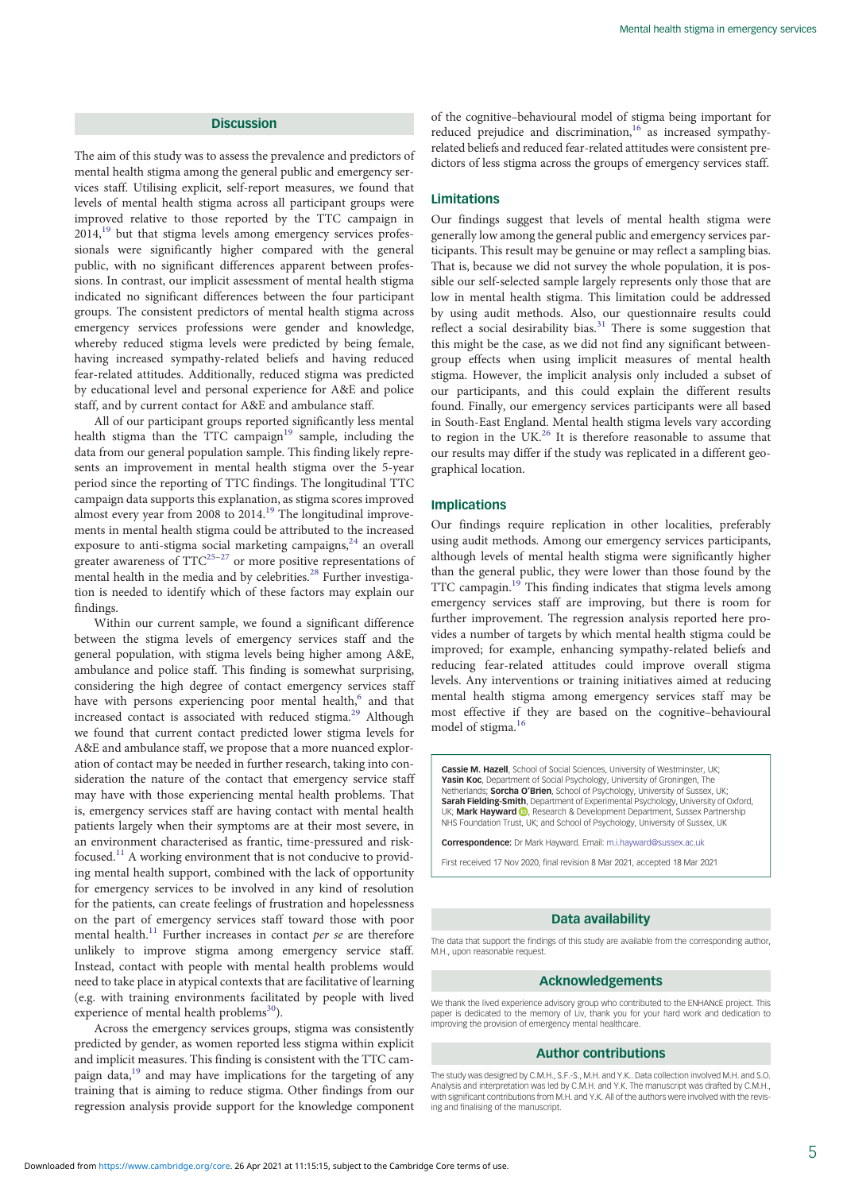## **Discussion**

The aim of this study was to assess the prevalence and predictors of mental health stigma among the general public and emergency services staff. Utilising explicit, self-report measures, we found that levels of mental health stigma across all participant groups were improved relative to those reported by the TTC campaign in  $2014$ ,<sup>[19](#page-5-0)</sup> but that stigma levels among emergency services professionals were significantly higher compared with the general public, with no significant differences apparent between professions. In contrast, our implicit assessment of mental health stigma indicated no significant differences between the four participant groups. The consistent predictors of mental health stigma across emergency services professions were gender and knowledge, whereby reduced stigma levels were predicted by being female, having increased sympathy-related beliefs and having reduced fear-related attitudes. Additionally, reduced stigma was predicted by educational level and personal experience for A&E and police staff, and by current contact for A&E and ambulance staff.

All of our participant groups reported significantly less mental health stigma than the TTC campaign<sup>19</sup> sample, including the data from our general population sample. This finding likely represents an improvement in mental health stigma over the 5-year period since the reporting of TTC findings. The longitudinal TTC campaign data supports this explanation, as stigma scores improved almost every year from 2008 to 2014.[19](#page-5-0) The longitudinal improvements in mental health stigma could be attributed to the increased exposure to anti-stigma social marketing campaigns, $24$  an overall greater awareness of  $TTC^{25-27}$  $TTC^{25-27}$  $TTC^{25-27}$  $TTC^{25-27}$  $TTC^{25-27}$  or more positive representations of mental health in the media and by celebrities.<sup>[28](#page-5-0)</sup> Further investigation is needed to identify which of these factors may explain our findings.

Within our current sample, we found a significant difference between the stigma levels of emergency services staff and the general population, with stigma levels being higher among A&E, ambulance and police staff. This finding is somewhat surprising, considering the high degree of contact emergency services staff have with persons experiencing poor mental health,<sup>6</sup> and that increased contact is associated with reduced stigma.<sup>29</sup> Although we found that current contact predicted lower stigma levels for A&E and ambulance staff, we propose that a more nuanced exploration of contact may be needed in further research, taking into consideration the nature of the contact that emergency service staff may have with those experiencing mental health problems. That is, emergency services staff are having contact with mental health patients largely when their symptoms are at their most severe, in an environment characterised as frantic, time-pressured and risk-focused.<sup>[11](#page-5-0)</sup> A working environment that is not conducive to providing mental health support, combined with the lack of opportunity for emergency services to be involved in any kind of resolution for the patients, can create feelings of frustration and hopelessness on the part of emergency services staff toward those with poor mental health.<sup>[11](#page-5-0)</sup> Further increases in contact per se are therefore unlikely to improve stigma among emergency service staff. Instead, contact with people with mental health problems would need to take place in atypical contexts that are facilitative of learning (e.g. with training environments facilitated by people with lived experience of mental health problems $^{30}$ ).

Across the emergency services groups, stigma was consistently predicted by gender, as women reported less stigma within explicit and implicit measures. This finding is consistent with the TTC campaign data, $19$  and may have implications for the targeting of any training that is aiming to reduce stigma. Other findings from our regression analysis provide support for the knowledge component of the cognitive–behavioural model of stigma being important for reduced prejudice and discrimination,<sup>16</sup> as increased sympathyrelated beliefs and reduced fear-related attitudes were consistent predictors of less stigma across the groups of emergency services staff.

## Limitations

Our findings suggest that levels of mental health stigma were generally low among the general public and emergency services participants. This result may be genuine or may reflect a sampling bias. That is, because we did not survey the whole population, it is possible our self-selected sample largely represents only those that are low in mental health stigma. This limitation could be addressed by using audit methods. Also, our questionnaire results could reflect a social desirability bias.<sup>[31](#page-5-0)</sup> There is some suggestion that this might be the case, as we did not find any significant betweengroup effects when using implicit measures of mental health stigma. However, the implicit analysis only included a subset of our participants, and this could explain the different results found. Finally, our emergency services participants were all based in South-East England. Mental health stigma levels vary according to region in the  $UK.<sup>26</sup>$  $UK.<sup>26</sup>$  $UK.<sup>26</sup>$  It is therefore reasonable to assume that our results may differ if the study was replicated in a different geographical location.

## Implications

Our findings require replication in other localities, preferably using audit methods. Among our emergency services participants, although levels of mental health stigma were significantly higher than the general public, they were lower than those found by the TTC campagin.[19](#page-5-0) This finding indicates that stigma levels among emergency services staff are improving, but there is room for further improvement. The regression analysis reported here provides a number of targets by which mental health stigma could be improved; for example, enhancing sympathy-related beliefs and reducing fear-related attitudes could improve overall stigma levels. Any interventions or training initiatives aimed at reducing mental health stigma among emergency services staff may be most effective if they are based on the cognitive–behavioural model of stigma.<sup>[16](#page-5-0)</sup>

Cassie M. Hazell, School of Social Sciences, University of Westminster, UK; **Yasin Koc,** Department of Social Psychology, University of Groningen, The<br>Netherlands; **Sorcha O'Brien**, School of Psychology, University of Sussex, UK<sub>;</sub> Sarah Fielding-Smith, Department of Experimental Psychology, University of Oxford, UK; Mark Hayward **D**, Research & Development Department, Sussex Partnership NHS Foundation Trust, UK; and School of Psychology, University of Sussex, UK

Correspondence: Dr Mark Hayward. Email: [m.i.hayward@sussex.ac.uk](mailto:m.i.hayward@sussex.ac.uk)

First received 17 Nov 2020, final revision 8 Mar 2021, accepted 18 Mar 2021

## Data availability

The data that support the findings of this study are available from the corresponding author M.H., upon reasonable request.

## Acknowledgements

We thank the lived experience advisory group who contributed to the ENHANCE project. This paper is dedicated to the memory of Liv, thank you for your hard work and dedication to improving the provision of emergency mental healthcare.

#### Author contributions

The study was designed by C.M.H., S.F.-S., M.H. and Y.K.. Data collection involved M.H. and S.O. Analysis and interpretation was led by C.M.H. and Y.K. The manuscript was drafted by C.M.H., with significant contributions from M.H. and Y.K. All of the authors were involved with the revising and finalising of the manuscript.